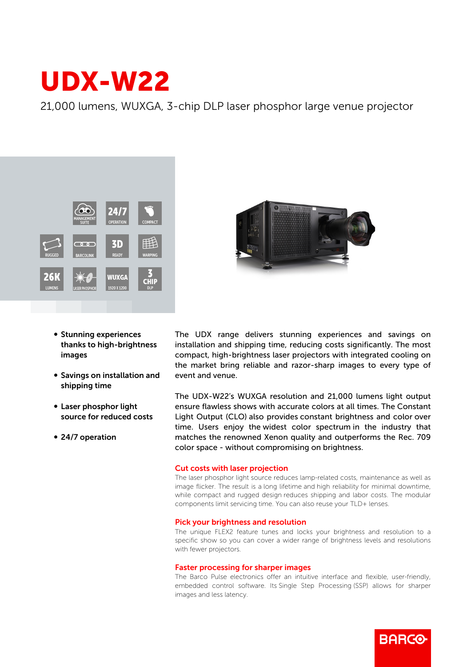# UDX-W22

21,000 lumens, WUXGA, 3-chip DLP laser phosphor large venue projector



- **Stunning experiences** thanks to high-brightness images
- Savings on installation and shipping time
- Laser phosphor light source for reduced costs
- 24/7 operation



The UDX range delivers stunning experiences and savings on installation and shipping time, reducing costs significantly. The most compact, high-brightness laser projectors with integrated cooling on the market bring reliable and razor-sharp images to every type of event and venue.

The UDX-W22's WUXGA resolution and 21,000 lumens light output ensure flawless shows with accurate colors at all times. The Constant Light Output (CLO) also provides constant brightness and color over time. Users enjoy the widest color spectrum in the industry that matches the renowned Xenon quality and outperforms the Rec. 709 color space - without compromising on brightness.

## Cut costs with laser projection

The laser phosphor light source reduces lamp-related costs, maintenance as well as image flicker. The result is a long lifetime and high reliability for minimal downtime, while compact and rugged design reduces shipping and labor costs. The modular components limit servicing time. You can also reuse your TLD+ lenses.

## Pick your brightness and resolution

The unique FLEX2 feature tunes and locks your brightness and resolution to a specific show so you can cover a wider range of brightness levels and resolutions with fewer projectors.

## Faster processing for sharper images

The Barco Pulse electronics offer an intuitive interface and flexible, user-friendly, embedded control software. Its Single Step Processing (SSP) allows for sharper images and less latency.

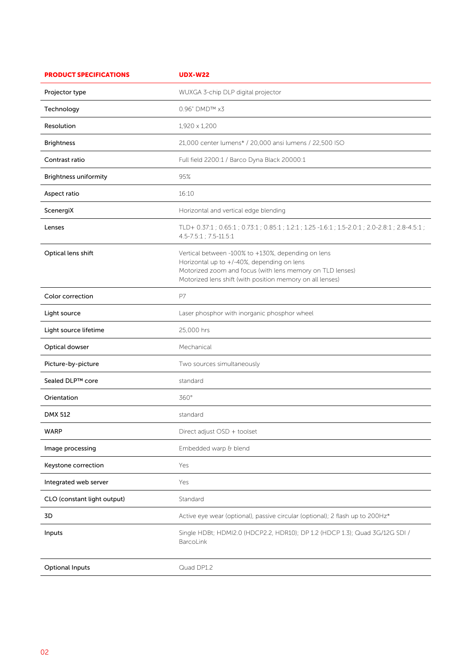| <b>PRODUCT SPECIFICATIONS</b> | <b>UDX-W22</b>                                                                                                                                                                                                             |
|-------------------------------|----------------------------------------------------------------------------------------------------------------------------------------------------------------------------------------------------------------------------|
| Projector type                | WUXGA 3-chip DLP digital projector                                                                                                                                                                                         |
| Technology                    | 0.96" DMD™ x3                                                                                                                                                                                                              |
| Resolution                    | 1,920 x 1,200                                                                                                                                                                                                              |
| <b>Brightness</b>             | 21,000 center lumens* / 20,000 ansi lumens / 22,500 ISO                                                                                                                                                                    |
| Contrast ratio                | Full field 2200:1 / Barco Dyna Black 20000:1                                                                                                                                                                               |
| <b>Brightness uniformity</b>  | 95%                                                                                                                                                                                                                        |
| Aspect ratio                  | 16:10                                                                                                                                                                                                                      |
| ScenergiX                     | Horizontal and vertical edge blending                                                                                                                                                                                      |
| Lenses                        | TLD+ 0.37:1; 0.65:1; 0.73:1; 0.85:1; 1.2:1; 1.25 -1.6:1; 1.5-2.0:1; 2.0-2.8:1; 2.8-4.5:1;<br>4.5-7.5:1 ; 7.5-11.5:1                                                                                                        |
| Optical lens shift            | Vertical between -100% to +130%, depending on lens<br>Horizontal up to +/-40%, depending on lens<br>Motorized zoom and focus (with lens memory on TLD lenses)<br>Motorized lens shift (with position memory on all lenses) |
| Color correction              | P7                                                                                                                                                                                                                         |
| Light source                  | Laser phosphor with inorganic phosphor wheel                                                                                                                                                                               |
| Light source lifetime         | 25,000 hrs                                                                                                                                                                                                                 |
| Optical dowser                | Mechanical                                                                                                                                                                                                                 |
| Picture-by-picture            | Two sources simultaneously                                                                                                                                                                                                 |
| Sealed DLP™ core              | standard                                                                                                                                                                                                                   |
| Orientation                   | 360°                                                                                                                                                                                                                       |
| DMX 512                       | standard                                                                                                                                                                                                                   |
| <b>WARP</b>                   | Direct adjust OSD + toolset                                                                                                                                                                                                |
| Image processing              | Embedded warp & blend                                                                                                                                                                                                      |
| Keystone correction           | Yes                                                                                                                                                                                                                        |
| Integrated web server         | Yes                                                                                                                                                                                                                        |
| CLO (constant light output)   | Standard                                                                                                                                                                                                                   |
| 3D                            | Active eye wear (optional), passive circular (optional); 2 flash up to 200Hz*                                                                                                                                              |
| Inputs                        | Single HDBt; HDMI2.0 (HDCP2.2, HDR10); DP 1.2 (HDCP 1.3); Quad 3G/12G SDI /<br>BarcoLink                                                                                                                                   |
| <b>Optional Inputs</b>        | Quad DP1.2                                                                                                                                                                                                                 |